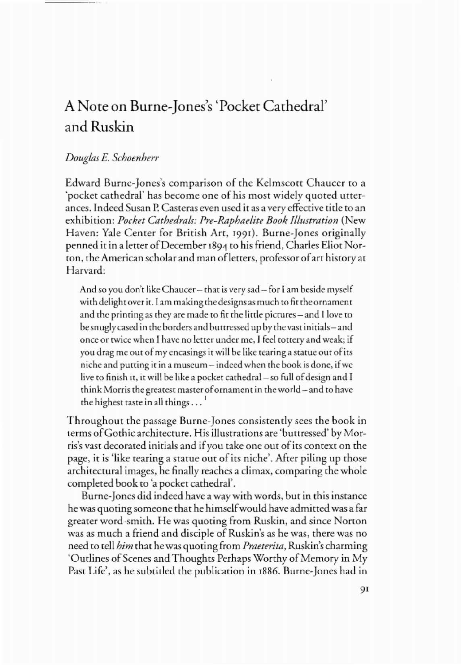# A Note on Burne-Jones's 'Pocket Cathedral' and Ruskin

## *DougLas* E. *Schoenherr*

Edward Burne-Jones's comparison of the Kelmscott Chaucer to a 'pocket cathedral' has become one of his most widely quoted utterances. Indeed Susan P. Casteras even used it as a very effective tide ro an exhibition: *Pocket CathedraLs: Pre-RaphaeLite Book ILLustration* (New Haven: Yale Center for British Art, 1991). Burne-Jones originally penned it in a letter of December 1894 to his friend, Charles Eliot Norton, the American scholar and man of letters, professor of art history at Harvard:

And so you don'r like Chaucer- rhar is very sad- for I am beside myself with delight over it. I am making the designs as much to fit the ornament and the printing as they are made to fit the little pictures – and I love to be snugly cased in the borders and buttressed up by the vast initials – and once or rwice when I have no letter under me, 1feel rorrery and weak; if you drag me out of my encasings it will be like tearing a statue out of its niche and purring ir in a museum - indeed when rhe book is done, ifwe live to finish it, it will be like a pocket cathedral – so full of design and I think Morris the greatest master of ornament in the world – and to have the highest taste in all things  $\dots$ <sup>1</sup>

Throughout the passage Bume-Jones consistendy sees the book in terms ofGothic architecture. His illustrations are 'buttressed' by Morris's vast decorated initials and if you take one out of its context on the page, it is 'like tearing a statue out of its niche'. After piling up those architectural images, he finally reaches a climax, comparing the whole completed book *co* 'a pocket carhedral'.

Sume-Jones did indeed have a way with words, but in this instance he was quoting someone that he himself would have admitted was a far greater word-smith. He was quoting from Ruskin, and since Norton was as much a friend and disciple of Ruskin's as he was, there was no need *co* tell *him* that he was quoting from *Praeterita,* Ruskin's charming 'Outlines of Scenes and Thoughts Perhaps Worthy of Memory in My Past Life', as he subtitled the publication in 1886. Burne-Jones had in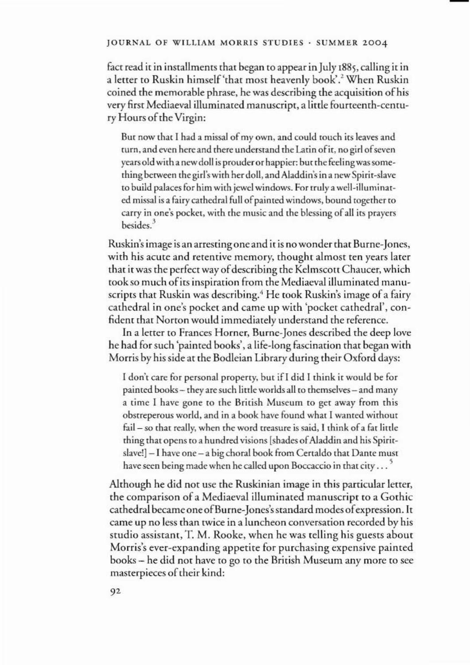#### JOURNAL OF WILLIAM MORRIS STUDIES· SUMMER 2004

fact read it in installments that began to appear in July 1885, calling it in a letter to Ruskin himself 'that most heavenly book'.<sup>2</sup> When Ruskin coined the memorable phrase, he was describing the acquisition ofhis very first Mediaeval illuminated manuscript, a little fourteenth-century Hours of the Virgin:

But now that I had a missal of my own, and could touch its leaves and turn, and even here and there understand the Latin of it, no girl of seven years old with a new doll is prouder or happier: but the feeling was something between the girl's with her doll, and Aladdin's in a new Spirir-slave to build palaces for him with jewel windows. For truly awell-illuminated missal is a fairy cathedral full of painted windows, bound together to carry in one's pocket, with the music and the blessing of all its prayers besides.<sup>3</sup>

Ruskin's image is an arresting one and it is no wonder that Burne-Jones, with his acute and retentive memory, thought almost ten years later that it was the perfect way of describing the Kelmscott Chaucer, which took so much ofits inspiration from the Mediaeval illuminated manuscripts that Ruskin was describing.<sup>4</sup> He took Ruskin's image of a fairy cathedral in one's pocket and came up with 'pocket cathedral', confident that Norton would immediately understand the reference.

In a letter to Frances Homer, Burne-Jones described the deep love he had for such 'painted books', a life-long fascination that began with Morris by his side at the Bodleian Library during their Oxford days:

I don't care for personal property, but if I did I think it would be for painted books- they are such little worlds all to themselves- and many a time I have gone to the British Museum to get away from this obstreperous world, and in a book have found what I wanted without fail - so that really, when the word treasure is said, I think of a fat little thing that opens to a hundred visions [shades of Aladdin and his Spiritslave!] - I have one - a big choral book from Certaldo that Dante musr have seen being made when he called upon Boccaccio in that city  $\ldots$ <sup>5</sup>

Although he did not use the Ruskinian image in this particular letter, the comparison of a Mediaeval illuminated manuscript to a Gothic cathedral became one of Burne-Jones's standard modes of expression. It came up no less than twice in a luncheon conversation recorded by his studio assistant, T. M. Rooke, when he was telling his guests about Morris's ever-expanding appetite for purchasing expensive painted books - he did not have to go to the British Museum any more to see masterpieces of their kind: